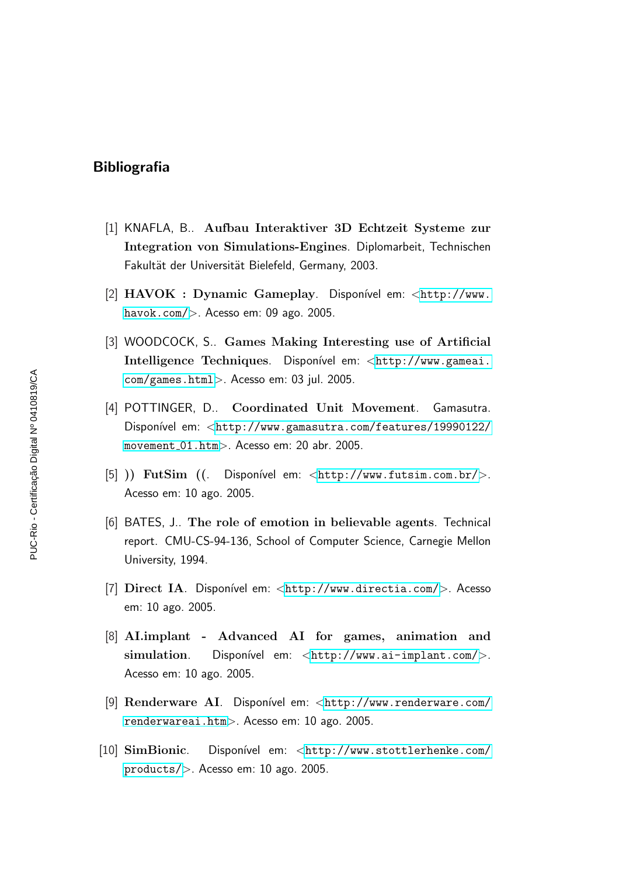## Bibliografia

- [1] KNAFLA, B.. Aufbau Interaktiver 3D Echtzeit Systeme zur Integration von Simulations-Engines. Diplomarbeit, Technischen Fakultät der Universität Bielefeld, Germany, 2003.
- [2] HAVOK : Dynamic Gameplay. Disponível em: <[http://www.](http://www.havok.com/) [havok.com/](http://www.havok.com/)>. Acesso em: 09 ago. 2005.
- [3] WOODCOCK, S.. Games Making Interesting use of Artificial Intelligence Techniques. Disponível em: <[http://www.gameai.](http://www.gameai.com/games.html) [com/games.html](http://www.gameai.com/games.html)>. Acesso em: 03 jul. 2005.
- [4] POTTINGER, D.. Coordinated Unit Movement. Gamasutra. Disponível em: <[http://www.gamasutra.com/features/19990122/](http://www.gamasutra.com/features/19990122/movement_01.htm) [movement](http://www.gamasutra.com/features/19990122/movement_01.htm) 01.htm>. Acesso em: 20 abr. 2005.
- [5] )) FutSim  $(($  Disponível em:  $\langle$ <http://www.futsim.com.br/> $>$ . Acesso em: 10 ago. 2005.
- [6] BATES, J.. The role of emotion in believable agents. Technical report. CMU-CS-94-136, School of Computer Science, Carnegie Mellon University, 1994.
- [7] Direct IA. Disponível em: <<http://www.directia.com/>>. Acesso em: 10 ago. 2005.
- [8] AI.implant Advanced AI for games, animation and simulation. Disponível em: <<http://www.ai-implant.com/>>. Acesso em: 10 ago. 2005.
- [9] Renderware AI. Disponível em: <[http://www.renderware.com/](http://www.renderware.com/renderwareai.htm) [renderwareai.htm](http://www.renderware.com/renderwareai.htm)>. Acesso em: 10 ago. 2005.
- [10] SimBionic. Disponível em: <[http://www.stottlerhenke.com/](http://www.stottlerhenke.com/products/) [products/](http://www.stottlerhenke.com/products/)>. Acesso em: 10 ago. 2005.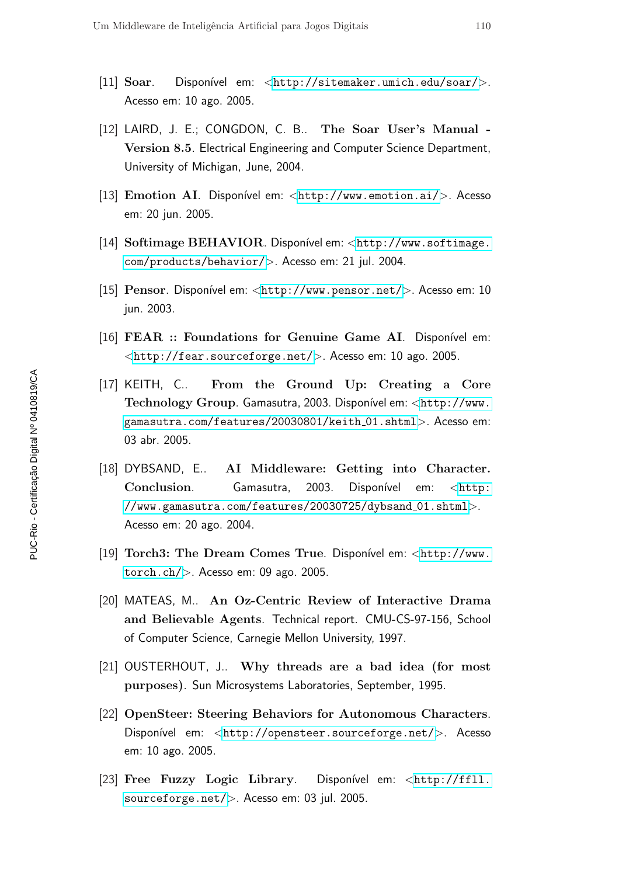- [11] Soar. Disponível em: <<http://sitemaker.umich.edu/soar/>>. Acesso em: 10 ago. 2005.
- [12] LAIRD, J. E.; CONGDON, C. B.. The Soar User's Manual -Version 8.5. Electrical Engineering and Computer Science Department, University of Michigan, June, 2004.
- [13] Emotion AI. Disponível em:  $\langle$ <http://www.emotion.ai/> $>$ . Acesso em: 20 jun. 2005.
- [14] Softimage BEHAVIOR. Disponível em: <[http://www.softimage.](http://www.softimage.com/products/behavior/) [com/products/behavior/](http://www.softimage.com/products/behavior/)>. Acesso em: 21 jul. 2004.
- [15] Pensor. Disponível em: <<http://www.pensor.net/>>. Acesso em: 10 jun. 2003.
- [16] FEAR :: Foundations for Genuine Game AI. Disponível em: <<http://fear.sourceforge.net/>>. Acesso em: 10 ago. 2005.
- [17] KEITH, C.. From the Ground Up: Creating a Core Technology Group. Gamasutra, 2003. Disponível em: <[http://www.](http://www.gamasutra.com/features/20030801/keith_01.shtml) [gamasutra.com/features/20030801/keith](http://www.gamasutra.com/features/20030801/keith_01.shtml) 01.shtml>. Acesso em: 03 abr. 2005.
- [18] DYBSAND, E.. AI Middleware: Getting into Character. Conclusion. Gamasutra, 2003. Disponível em: <[http:](http://www.gamasutra.com/features/20030725/dybsand_01.shtml) [//www.gamasutra.com/features/20030725/dybsand](http://www.gamasutra.com/features/20030725/dybsand_01.shtml) 01.shtml>. Acesso em: 20 ago. 2004.
- [19] Torch3: The Dream Comes True. Disponível em: <[http://www.](http://www.torch.ch/) [torch.ch/](http://www.torch.ch/)>. Acesso em: 09 ago. 2005.
- [20] MATEAS, M.. An Oz-Centric Review of Interactive Drama and Believable Agents. Technical report. CMU-CS-97-156, School of Computer Science, Carnegie Mellon University, 1997.
- [21] OUSTERHOUT, J.. Why threads are a bad idea (for most purposes). Sun Microsystems Laboratories, September, 1995.
- [22] OpenSteer: Steering Behaviors for Autonomous Characters. Disponível em: <<http://opensteer.sourceforge.net/>>. Acesso em: 10 ago. 2005.
- [23] Free Fuzzy Logic Library. Disponível em: <[http://ffll.](http://ffll.sourceforge.net/) [sourceforge.net/](http://ffll.sourceforge.net/)>. Acesso em: 03 jul. 2005.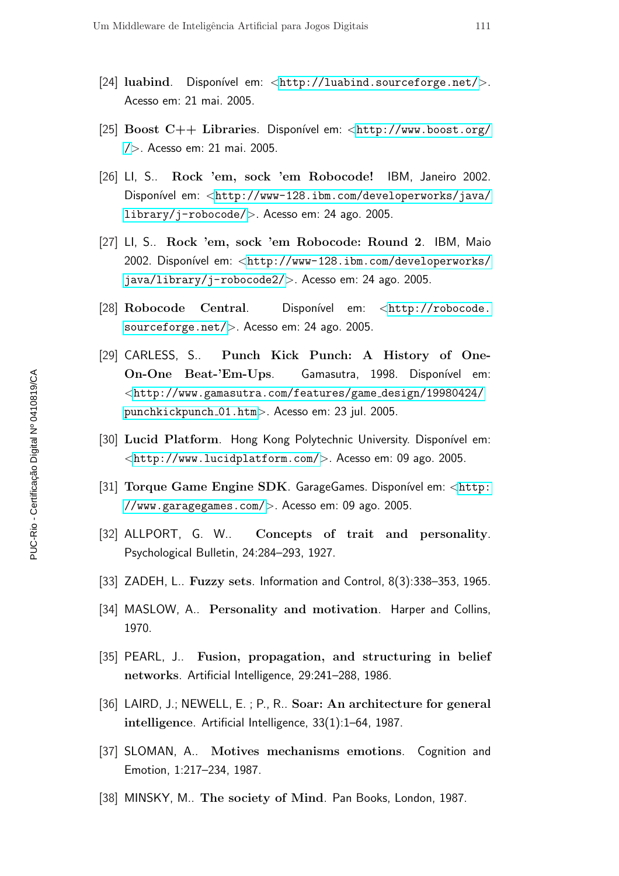- [24] luabind. Disponível em:  $\langle$ <http://luabind.sourceforge.net/> $>$ . Acesso em: 21 mai. 2005.
- [25] Boost  $C++$  Libraries. Disponível em: <[http://www.boost.org/](http://www.boost.org//) [/](http://www.boost.org//)>. Acesso em: 21 mai. 2005.
- [26] LI, S.. Rock 'em, sock 'em Robocode! IBM, Janeiro 2002. Disponível em: <[http://www-128.ibm.com/developerworks/java/](http://www-128.ibm.com/developerworks/java/library/j-robocode/) [library/j-robocode/](http://www-128.ibm.com/developerworks/java/library/j-robocode/)>. Acesso em: 24 ago. 2005.
- [27] LI, S.. Rock 'em, sock 'em Robocode: Round 2. IBM, Maio 2002. Disponível em: <[http://www-128.ibm.com/developerworks/](http://www-128.ibm.com/developerworks/java/library/j-robocode2/) [java/library/j-robocode2/](http://www-128.ibm.com/developerworks/java/library/j-robocode2/)>. Acesso em: 24 ago. 2005.
- [28] Robocode Central. Disponível em: <[http://robocode.](http://robocode.sourceforge.net/) [sourceforge.net/](http://robocode.sourceforge.net/)>. Acesso em: 24 ago. 2005.
- [29] CARLESS, S.. Punch Kick Punch: A History of One-On-One Beat-'Em-Ups. Gamasutra, 1998. Disponível em: <[http://www.gamasutra.com/features/game](http://www.gamasutra.com/features/game_design/19980424/punchkickpunch_01.htm) design/19980424/ [punchkickpunch](http://www.gamasutra.com/features/game_design/19980424/punchkickpunch_01.htm) 01.htm>. Acesso em: 23 jul. 2005.
- [30] Lucid Platform. Hong Kong Polytechnic University. Disponível em: <<http://www.lucidplatform.com/>>. Acesso em: 09 ago. 2005.
- [31] Torque Game Engine SDK. GarageGames. Disponível em: <[http:](http://www.garagegames.com/) [//www.garagegames.com/](http://www.garagegames.com/)>. Acesso em: 09 ago. 2005.
- [32] ALLPORT, G. W.. Concepts of trait and personality. Psychological Bulletin, 24:284–293, 1927.
- [33] ZADEH, L.. Fuzzy sets. Information and Control, 8(3):338–353, 1965.
- [34] MASLOW, A.. Personality and motivation. Harper and Collins, 1970.
- [35] PEARL, J.. Fusion, propagation, and structuring in belief networks. Artificial Intelligence, 29:241–288, 1986.
- [36] LAIRD, J.; NEWELL, E.; P., R.. Soar: An architecture for general intelligence. Artificial Intelligence, 33(1):1–64, 1987.
- [37] SLOMAN, A.. Motives mechanisms emotions. Cognition and Emotion, 1:217–234, 1987.
- [38] MINSKY, M.. The society of Mind. Pan Books, London, 1987.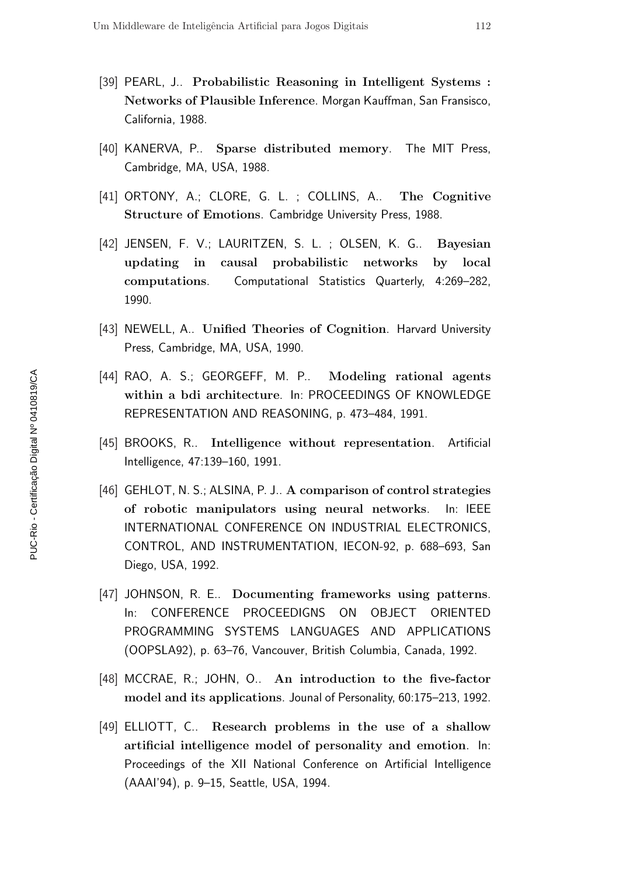- [39] PEARL, J.. Probabilistic Reasoning in Intelligent Systems : Networks of Plausible Inference. Morgan Kauffman, San Fransisco, California, 1988.
- [40] KANERVA, P.. Sparse distributed memory. The MIT Press, Cambridge, MA, USA, 1988.
- [41] ORTONY, A.; CLORE, G. L.; COLLINS, A.. The Cognitive Structure of Emotions. Cambridge University Press, 1988.
- [42] JENSEN, F. V.; LAURITZEN, S. L. ; OLSEN, K. G.. Bayesian updating in causal probabilistic networks by local computations. Computational Statistics Quarterly, 4:269–282, 1990.
- [43] NEWELL, A.. Unified Theories of Cognition. Harvard University Press, Cambridge, MA, USA, 1990.
- [44] RAO, A. S.; GEORGEFF, M. P.. Modeling rational agents within a bdi architecture. In: PROCEEDINGS OF KNOWLEDGE REPRESENTATION AND REASONING, p. 473–484, 1991.
- [45] BROOKS, R.. Intelligence without representation. Artificial Intelligence, 47:139–160, 1991.
- [46] GEHLOT, N. S.; ALSINA, P. J.. A comparison of control strategies of robotic manipulators using neural networks. In: IEEE INTERNATIONAL CONFERENCE ON INDUSTRIAL ELECTRONICS, CONTROL, AND INSTRUMENTATION, IECON-92, p. 688–693, San Diego, USA, 1992.
- [47] JOHNSON, R. E.. Documenting frameworks using patterns. In: CONFERENCE PROCEEDIGNS ON OBJECT ORIENTED PROGRAMMING SYSTEMS LANGUAGES AND APPLICATIONS (OOPSLA92), p. 63–76, Vancouver, British Columbia, Canada, 1992.
- [48] MCCRAE, R.; JOHN, O.. An introduction to the five-factor model and its applications. Jounal of Personality, 60:175–213, 1992.
- [49] ELLIOTT, C.. Research problems in the use of a shallow artificial intelligence model of personality and emotion. In: Proceedings of the XII National Conference on Artificial Intelligence (AAAI'94), p. 9–15, Seattle, USA, 1994.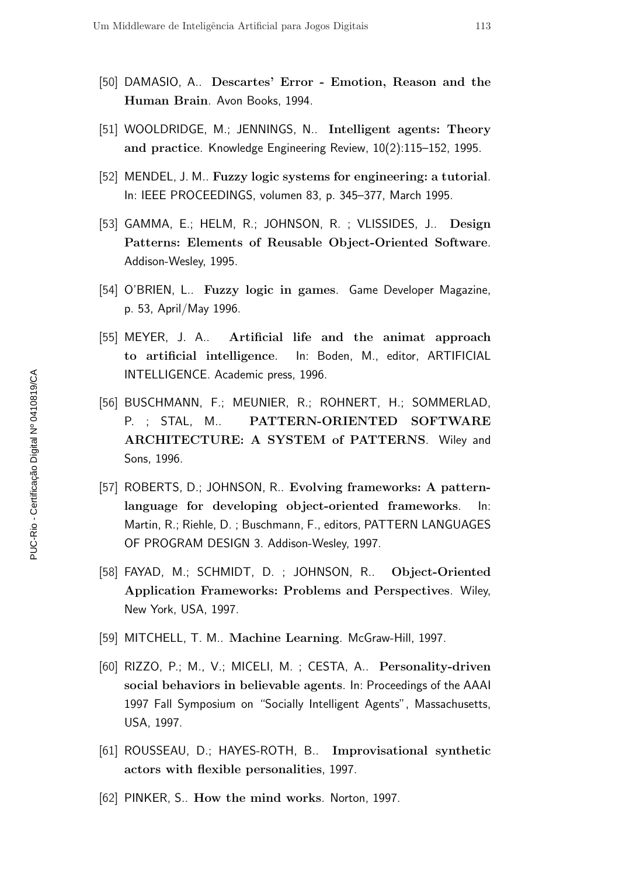- [50] DAMASIO, A.. Descartes' Error Emotion, Reason and the Human Brain. Avon Books, 1994.
- [51] WOOLDRIDGE, M.; JENNINGS, N.. Intelligent agents: Theory and practice. Knowledge Engineering Review, 10(2):115–152, 1995.
- [52] MENDEL, J. M.. Fuzzy logic systems for engineering: a tutorial. In: IEEE PROCEEDINGS, volumen 83, p. 345–377, March 1995.
- [53] GAMMA, E.; HELM, R.; JOHNSON, R. ; VLISSIDES, J.. Design Patterns: Elements of Reusable Object-Oriented Software. Addison-Wesley, 1995.
- [54] O'BRIEN, L.. Fuzzy logic in games. Game Developer Magazine, p. 53, April/May 1996.
- [55] MEYER, J. A.. Artificial life and the animat approach to artificial intelligence. In: Boden, M., editor, ARTIFICIAL INTELLIGENCE. Academic press, 1996.
- [56] BUSCHMANN, F.; MEUNIER, R.; ROHNERT, H.; SOMMERLAD, P. ; STAL, M.. PATTERN-ORIENTED SOFTWARE ARCHITECTURE: A SYSTEM of PATTERNS. Wiley and Sons, 1996.
- [57] ROBERTS, D.; JOHNSON, R.. Evolving frameworks: A patternlanguage for developing object-oriented frameworks. In: Martin, R.; Riehle, D. ; Buschmann, F., editors, PATTERN LANGUAGES OF PROGRAM DESIGN 3. Addison-Wesley, 1997.
- [58] FAYAD, M.; SCHMIDT, D. ; JOHNSON, R.. Object-Oriented Application Frameworks: Problems and Perspectives. Wiley, New York, USA, 1997.
- [59] MITCHELL, T. M.. Machine Learning. McGraw-Hill, 1997.
- [60] RIZZO, P.; M., V.; MICELI, M. ; CESTA, A.. Personality-driven social behaviors in believable agents. In: Proceedings of the AAAI 1997 Fall Symposium on "Socially Intelligent Agents", Massachusetts, USA, 1997.
- [61] ROUSSEAU, D.; HAYES-ROTH, B.. Improvisational synthetic actors with flexible personalities, 1997.
- [62] PINKER, S.. How the mind works. Norton, 1997.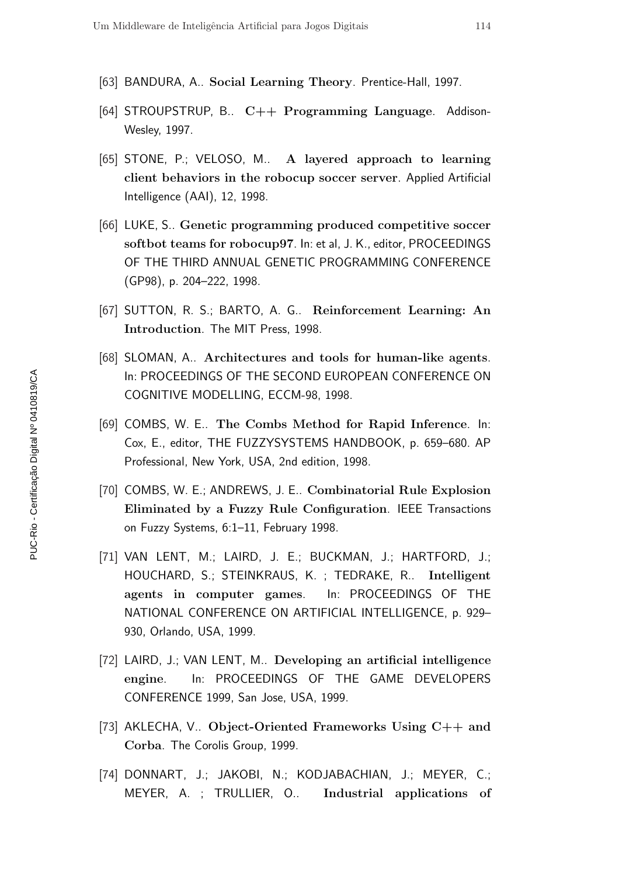- [63] BANDURA, A.. Social Learning Theory. Prentice-Hall, 1997.
- [64] STROUPSTRUP, B.  $C++$  Programming Language. Addison-Wesley, 1997.
- [65] STONE, P.; VELOSO, M.. A layered approach to learning client behaviors in the robocup soccer server. Applied Artificial Intelligence (AAI), 12, 1998.
- [66] LUKE, S.. Genetic programming produced competitive soccer softbot teams for robocup97. In: et al, J. K., editor, PROCEEDINGS OF THE THIRD ANNUAL GENETIC PROGRAMMING CONFERENCE (GP98), p. 204–222, 1998.
- [67] SUTTON, R. S.; BARTO, A. G.. Reinforcement Learning: An Introduction. The MIT Press, 1998.
- [68] SLOMAN, A.. Architectures and tools for human-like agents. In: PROCEEDINGS OF THE SECOND EUROPEAN CONFERENCE ON COGNITIVE MODELLING, ECCM-98, 1998.
- [69] COMBS, W. E.. The Combs Method for Rapid Inference. In: Cox, E., editor, THE FUZZYSYSTEMS HANDBOOK, p. 659–680. AP Professional, New York, USA, 2nd edition, 1998.
- [70] COMBS, W. E.; ANDREWS, J. E.. Combinatorial Rule Explosion Eliminated by a Fuzzy Rule Configuration. IEEE Transactions on Fuzzy Systems, 6:1–11, February 1998.
- [71] VAN LENT, M.; LAIRD, J. E.; BUCKMAN, J.; HARTFORD, J.; HOUCHARD, S.; STEINKRAUS, K. ; TEDRAKE, R.. Intelligent agents in computer games. In: PROCEEDINGS OF THE NATIONAL CONFERENCE ON ARTIFICIAL INTELLIGENCE, p. 929– 930, Orlando, USA, 1999.
- [72] LAIRD, J.; VAN LENT, M.. Developing an artificial intelligence engine. In: PROCEEDINGS OF THE GAME DEVELOPERS CONFERENCE 1999, San Jose, USA, 1999.
- [73] AKLECHA, V.. Object-Oriented Frameworks Using  $C_{++}$  and Corba. The Corolis Group, 1999.
- [74] DONNART, J.; JAKOBI, N.; KODJABACHIAN, J.; MEYER, C.; MEYER, A. ; TRULLIER, O.. Industrial applications of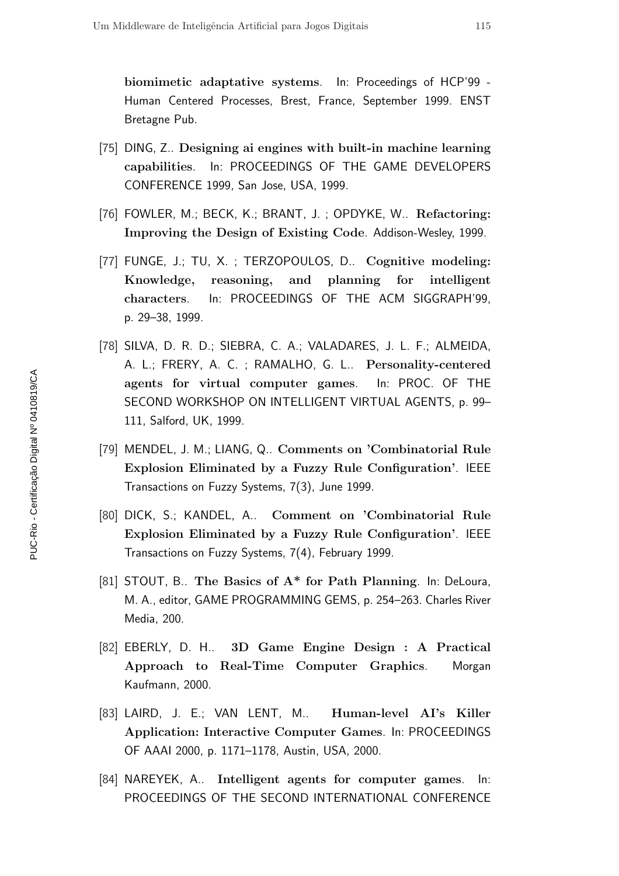biomimetic adaptative systems. In: Proceedings of HCP'99 - Human Centered Processes, Brest, France, September 1999. ENST Bretagne Pub.

- [75] DING, Z.. Designing ai engines with built-in machine learning capabilities. In: PROCEEDINGS OF THE GAME DEVELOPERS CONFERENCE 1999, San Jose, USA, 1999.
- [76] FOWLER, M.; BECK, K.; BRANT, J.; OPDYKE, W.. Refactoring: Improving the Design of Existing Code. Addison-Wesley, 1999.
- [77] FUNGE, J.; TU, X.; TERZOPOULOS, D.. Cognitive modeling: Knowledge, reasoning, and planning for intelligent characters. In: PROCEEDINGS OF THE ACM SIGGRAPH'99, p. 29–38, 1999.
- [78] SILVA, D. R. D.; SIEBRA, C. A.; VALADARES, J. L. F.; ALMEIDA, A. L.; FRERY, A. C. ; RAMALHO, G. L.. Personality-centered agents for virtual computer games. In: PROC. OF THE SECOND WORKSHOP ON INTELLIGENT VIRTUAL AGENTS, p. 99– 111, Salford, UK, 1999.
- [79] MENDEL, J. M.; LIANG, Q.. Comments on 'Combinatorial Rule Explosion Eliminated by a Fuzzy Rule Configuration'. IEEE Transactions on Fuzzy Systems, 7(3), June 1999.
- [80] DICK, S.; KANDEL, A.. Comment on 'Combinatorial Rule Explosion Eliminated by a Fuzzy Rule Configuration'. IEEE Transactions on Fuzzy Systems, 7(4), February 1999.
- [81] STOUT, B.. The Basics of A\* for Path Planning. In: DeLoura, M. A., editor, GAME PROGRAMMING GEMS, p. 254–263. Charles River Media, 200.
- [82] EBERLY, D. H.. 3D Game Engine Design : A Practical Approach to Real-Time Computer Graphics. Morgan Kaufmann, 2000.
- [83] LAIRD, J. E.; VAN LENT, M.. Human-level AI's Killer Application: Interactive Computer Games. In: PROCEEDINGS OF AAAI 2000, p. 1171–1178, Austin, USA, 2000.
- [84] NAREYEK, A.. Intelligent agents for computer games. In: PROCEEDINGS OF THE SECOND INTERNATIONAL CONFERENCE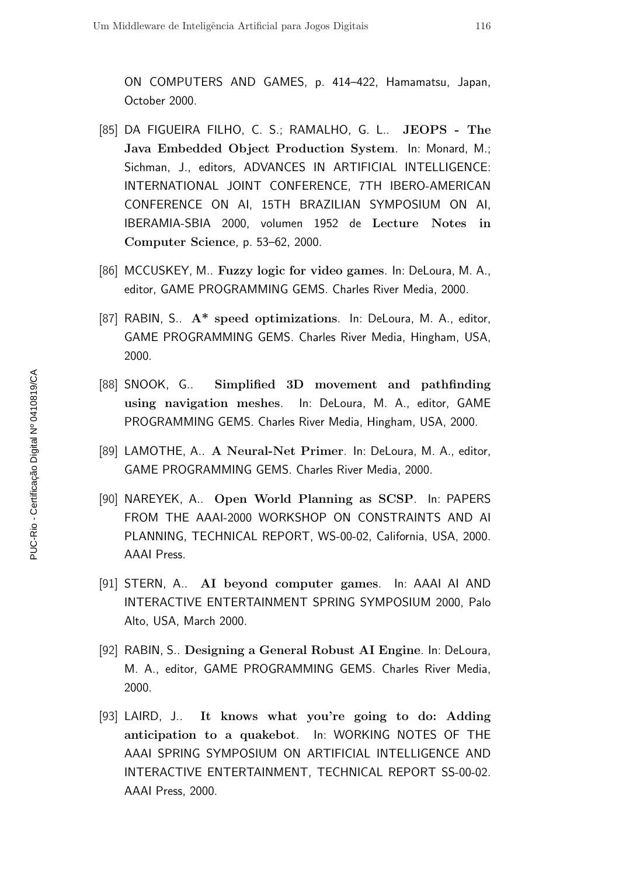ON COMPUTERS AND GAMES, p. 414–422, Hamamatsu, Japan, October 2000.

- [85] DA FIGUEIRA FILHO, C. S.; RAMALHO, G. L.. JEOPS The Java Embedded Object Production System. In: Monard, M.; Sichman, J., editors, ADVANCES IN ARTIFICIAL INTELLIGENCE: INTERNATIONAL JOINT CONFERENCE, 7TH IBERO-AMERICAN CONFERENCE ON AI, 15TH BRAZILIAN SYMPOSIUM ON AI, IBERAMIA-SBIA 2000, volumen 1952 de Lecture Notes in Computer Science, p. 53–62, 2000.
- [86] MCCUSKEY, M.. Fuzzy logic for video games. In: DeLoura, M. A., editor, GAME PROGRAMMING GEMS. Charles River Media, 2000.
- [87] RABIN, S.. A\* speed optimizations. In: DeLoura, M. A., editor, GAME PROGRAMMING GEMS. Charles River Media, Hingham, USA, 2000.
- [88] SNOOK, G.. Simplified 3D movement and pathfinding using navigation meshes. In: DeLoura, M. A., editor, GAME PROGRAMMING GEMS. Charles River Media, Hingham, USA, 2000.
- [89] LAMOTHE, A.. A Neural-Net Primer. In: DeLoura, M. A., editor, GAME PROGRAMMING GEMS. Charles River Media, 2000.
- [90] NAREYEK, A.. Open World Planning as SCSP. In: PAPERS FROM THE AAAI-2000 WORKSHOP ON CONSTRAINTS AND AI PLANNING, TECHNICAL REPORT, WS-00-02, California, USA, 2000. AAAI Press.
- [91] STERN, A.. AI beyond computer games. In: AAAI AI AND INTERACTIVE ENTERTAINMENT SPRING SYMPOSIUM 2000, Palo Alto, USA, March 2000.
- [92] RABIN, S.. Designing a General Robust AI Engine. In: DeLoura, M. A., editor, GAME PROGRAMMING GEMS. Charles River Media, 2000.
- [93] LAIRD, J.. It knows what you're going to do: Adding anticipation to a quakebot. In: WORKING NOTES OF THE AAAI SPRING SYMPOSIUM ON ARTIFICIAL INTELLIGENCE AND INTERACTIVE ENTERTAINMENT, TECHNICAL REPORT SS-00-02. AAAI Press, 2000.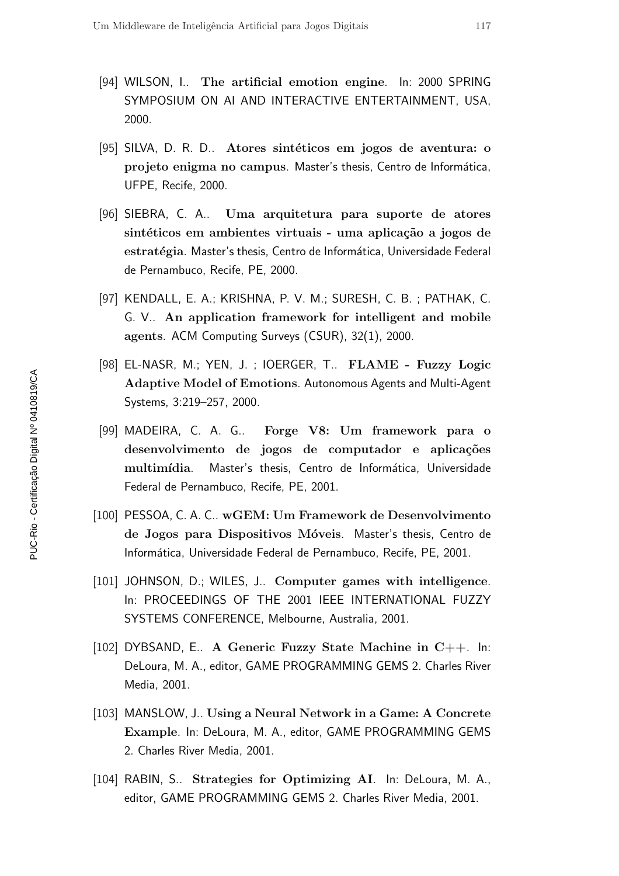- [94] WILSON, I.. The artificial emotion engine. In: 2000 SPRING SYMPOSIUM ON AI AND INTERACTIVE ENTERTAINMENT, USA, 2000.
- [95] SILVA, D. R. D.. Atores sintéticos em jogos de aventura: o projeto enigma no campus. Master's thesis, Centro de Informática, UFPE, Recife, 2000.
- [96] SIEBRA, C. A.. Uma arquitetura para suporte de atores sintéticos em ambientes virtuais - uma aplicação a jogos de estratégia. Master's thesis, Centro de Informática, Universidade Federal de Pernambuco, Recife, PE, 2000.
- [97] KENDALL, E. A.; KRISHNA, P. V. M.; SURESH, C. B. ; PATHAK, C. G. V.. An application framework for intelligent and mobile agents. ACM Computing Surveys (CSUR), 32(1), 2000.
- [98] EL-NASR, M.; YEN, J. ; IOERGER, T.. FLAME Fuzzy Logic Adaptive Model of Emotions. Autonomous Agents and Multi-Agent Systems, 3:219–257, 2000.
- [99] MADEIRA, C. A. G.. Forge V8: Um framework para o desenvolvimento de jogos de computador e aplicações multimídia. Master's thesis, Centro de Informática, Universidade Federal de Pernambuco, Recife, PE, 2001.
- [100] PESSOA, C. A. C.. wGEM: Um Framework de Desenvolvimento de Jogos para Dispositivos Móveis. Master's thesis, Centro de Informática, Universidade Federal de Pernambuco, Recife, PE, 2001.
- [101] JOHNSON, D.; WILES, J.. Computer games with intelligence. In: PROCEEDINGS OF THE 2001 IEEE INTERNATIONAL FUZZY SYSTEMS CONFERENCE, Melbourne, Australia, 2001.
- [102] DYBSAND, E.. A Generic Fuzzy State Machine in C++. In: DeLoura, M. A., editor, GAME PROGRAMMING GEMS 2. Charles River Media, 2001.
- [103] MANSLOW, J.. Using a Neural Network in a Game: A Concrete Example. In: DeLoura, M. A., editor, GAME PROGRAMMING GEMS 2. Charles River Media, 2001.
- [104] RABIN, S.. Strategies for Optimizing AI. In: DeLoura, M. A., editor, GAME PROGRAMMING GEMS 2. Charles River Media, 2001.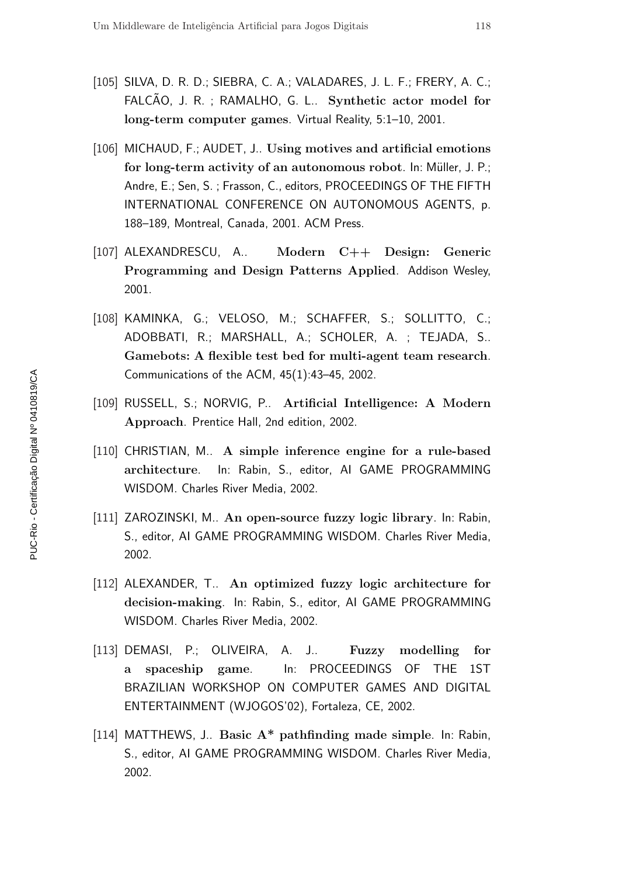- [105] SILVA, D. R. D.; SIEBRA, C. A.; VALADARES, J. L. F.; FRERY, A. C.; FALCÃO, J. R.; RAMALHO, G. L.. Synthetic actor model for long-term computer games. Virtual Reality, 5:1–10, 2001.
- [106] MICHAUD, F.; AUDET, J.. Using motives and artificial emotions for long-term activity of an autonomous robot. In: Müller, J. P.; Andre, E.; Sen, S. ; Frasson, C., editors, PROCEEDINGS OF THE FIFTH INTERNATIONAL CONFERENCE ON AUTONOMOUS AGENTS, p. 188–189, Montreal, Canada, 2001. ACM Press.
- [107] ALEXANDRESCU, A.. Modern C++ Design: Generic Programming and Design Patterns Applied. Addison Wesley, 2001.
- [108] KAMINKA, G.; VELOSO, M.; SCHAFFER, S.; SOLLITTO, C.; ADOBBATI, R.; MARSHALL, A.; SCHOLER, A. ; TEJADA, S.. Gamebots: A flexible test bed for multi-agent team research. Communications of the ACM, 45(1):43–45, 2002.
- [109] RUSSELL, S.; NORVIG, P.. Artificial Intelligence: A Modern Approach. Prentice Hall, 2nd edition, 2002.
- [110] CHRISTIAN, M.. A simple inference engine for a rule-based architecture. In: Rabin, S., editor, AI GAME PROGRAMMING WISDOM. Charles River Media, 2002.
- [111] ZAROZINSKI, M.. An open-source fuzzy logic library. In: Rabin, S., editor, AI GAME PROGRAMMING WISDOM. Charles River Media, 2002.
- [112] ALEXANDER, T.. An optimized fuzzy logic architecture for decision-making. In: Rabin, S., editor, AI GAME PROGRAMMING WISDOM. Charles River Media, 2002.
- [113] DEMASI, P.; OLIVEIRA, A. J.. Fuzzy modelling for a spaceship game. In: PROCEEDINGS OF THE 1ST BRAZILIAN WORKSHOP ON COMPUTER GAMES AND DIGITAL ENTERTAINMENT (WJOGOS'02), Fortaleza, CE, 2002.
- [114] MATTHEWS, J.. Basic A\* pathfinding made simple. In: Rabin, S., editor, AI GAME PROGRAMMING WISDOM. Charles River Media, 2002.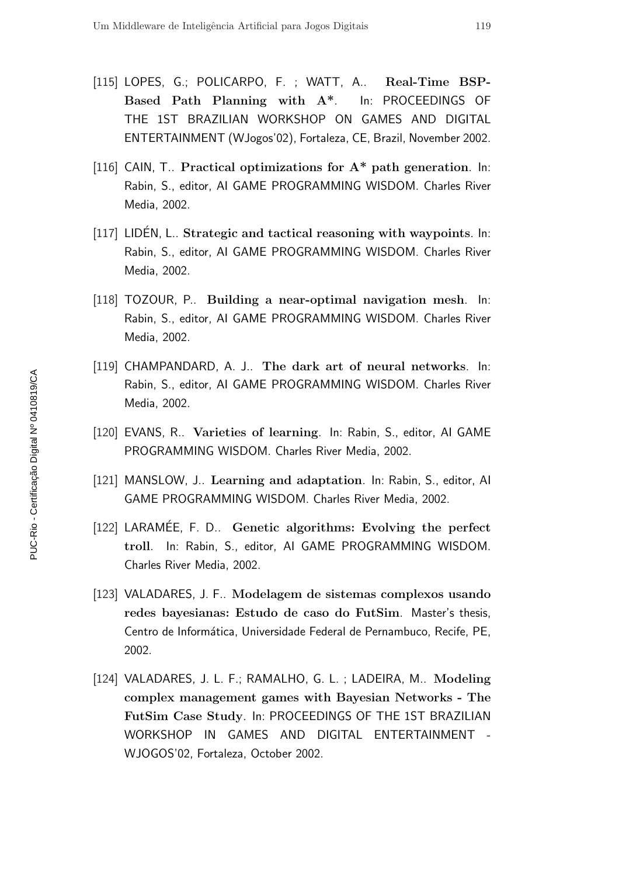- [115] LOPES, G.; POLICARPO, F. ; WATT, A.. Real-Time BSP-Based Path Planning with A\*. In: PROCEEDINGS OF THE 1ST BRAZILIAN WORKSHOP ON GAMES AND DIGITAL ENTERTAINMENT (WJogos'02), Fortaleza, CE, Brazil, November 2002.
- [116] CAIN, T.. Practical optimizations for  $A^*$  path generation. In: Rabin, S., editor, AI GAME PROGRAMMING WISDOM. Charles River Media, 2002.
- $[117]$  LIDEN, L.. Strategic and tactical reasoning with waypoints. In: Rabin, S., editor, AI GAME PROGRAMMING WISDOM. Charles River Media, 2002.
- [118] TOZOUR, P.. Building a near-optimal navigation mesh. In: Rabin, S., editor, AI GAME PROGRAMMING WISDOM. Charles River Media, 2002.
- [119] CHAMPANDARD, A. J.. The dark art of neural networks. In: Rabin, S., editor, AI GAME PROGRAMMING WISDOM. Charles River Media, 2002.
- [120] EVANS, R.. Varieties of learning. In: Rabin, S., editor, Al GAME PROGRAMMING WISDOM. Charles River Media, 2002.
- [121] MANSLOW, J.. Learning and adaptation. In: Rabin, S., editor, Al GAME PROGRAMMING WISDOM. Charles River Media, 2002.
- [122] LARAMÉE, F. D.. Genetic algorithms: Evolving the perfect troll. In: Rabin, S., editor, AI GAME PROGRAMMING WISDOM. Charles River Media, 2002.
- [123] VALADARES, J. F.. Modelagem de sistemas complexos usando redes bayesianas: Estudo de caso do FutSim. Master's thesis, Centro de Informática, Universidade Federal de Pernambuco, Recife, PE, 2002.
- [124] VALADARES, J. L. F.; RAMALHO, G. L. ; LADEIRA, M.. Modeling complex management games with Bayesian Networks - The FutSim Case Study. In: PROCEEDINGS OF THE 1ST BRAZILIAN WORKSHOP IN GAMES AND DIGITAL ENTERTAINMENT - WJOGOS'02, Fortaleza, October 2002.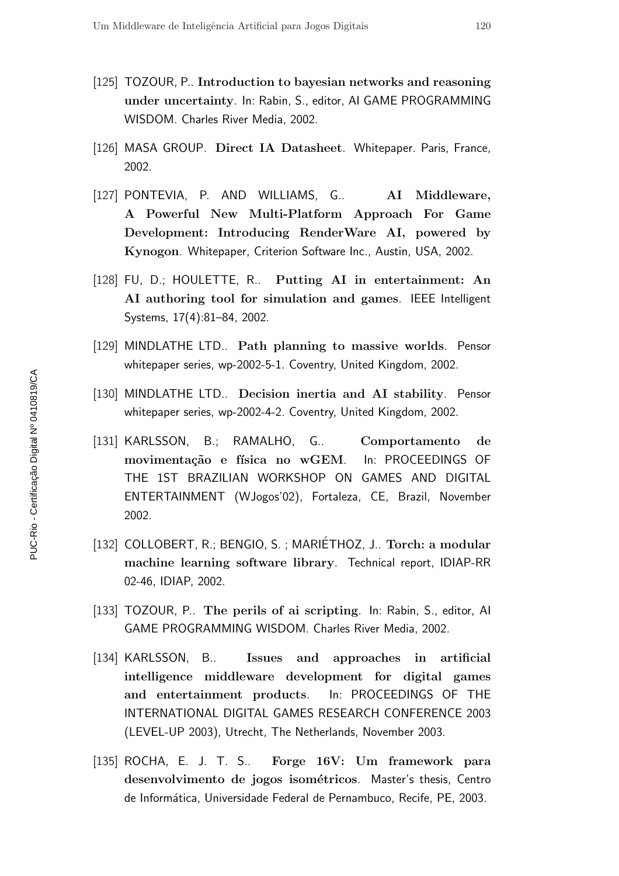- [125] TOZOUR, P.. Introduction to bayesian networks and reasoning under uncertainty. In: Rabin, S., editor, AI GAME PROGRAMMING WISDOM. Charles River Media, 2002.
- [126] MASA GROUP. Direct IA Datasheet. Whitepaper. Paris, France, 2002.
- [127] PONTEVIA, P. AND WILLIAMS, G.. AI Middleware, A Powerful New Multi-Platform Approach For Game Development: Introducing RenderWare AI, powered by Kynogon. Whitepaper, Criterion Software Inc., Austin, USA, 2002.
- [128] FU, D.; HOULETTE, R.. Putting AI in entertainment: An AI authoring tool for simulation and games. IEEE Intelligent Systems, 17(4):81–84, 2002.
- [129] MINDLATHE LTD.. Path planning to massive worlds. Pensor whitepaper series, wp-2002-5-1. Coventry, United Kingdom, 2002.
- [130] MINDLATHE LTD.. Decision inertia and AI stability. Pensor whitepaper series, wp-2002-4-2. Coventry, United Kingdom, 2002.
- [131] KARLSSON, B.; RAMALHO, G.. Comportamento de movimentação e física no wGEM. In: PROCEEDINGS OF THE 1ST BRAZILIAN WORKSHOP ON GAMES AND DIGITAL ENTERTAINMENT (WJogos'02), Fortaleza, CE, Brazil, November 2002.
- [132] COLLOBERT, R.; BENGIO, S.; MARIÉTHOZ, J.. Torch: a modular machine learning software library. Technical report, IDIAP-RR 02-46, IDIAP, 2002.
- [133] TOZOUR, P.. The perils of ai scripting. In: Rabin, S., editor, Al GAME PROGRAMMING WISDOM. Charles River Media, 2002.
- [134] KARLSSON, B.. Issues and approaches in artificial intelligence middleware development for digital games and entertainment products. In: PROCEEDINGS OF THE INTERNATIONAL DIGITAL GAMES RESEARCH CONFERENCE 2003 (LEVEL-UP 2003), Utrecht, The Netherlands, November 2003.
- [135] ROCHA, E. J. T. S.. Forge 16V: Um framework para desenvolvimento de jogos isométricos. Master's thesis, Centro de Informática, Universidade Federal de Pernambuco, Recife, PE, 2003.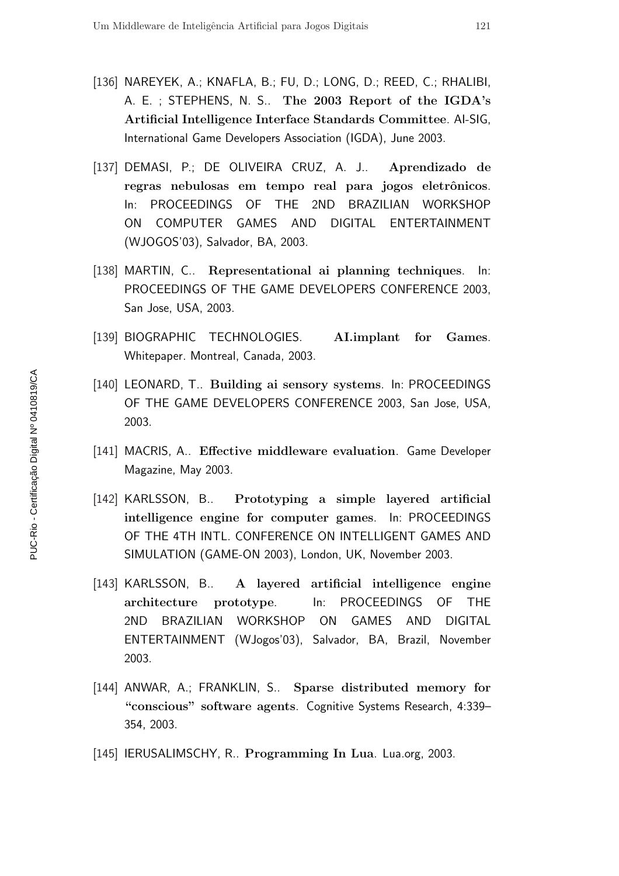- [136] NAREYEK, A.; KNAFLA, B.; FU, D.; LONG, D.; REED, C.; RHALIBI, A. E. ; STEPHENS, N. S.. The 2003 Report of the IGDA's Artificial Intelligence Interface Standards Committee. AI-SIG, International Game Developers Association (IGDA), June 2003.
- [137] DEMASI, P.; DE OLIVEIRA CRUZ, A. J.. Aprendizado de regras nebulosas em tempo real para jogos eletrônicos. In: PROCEEDINGS OF THE 2ND BRAZILIAN WORKSHOP ON COMPUTER GAMES AND DIGITAL ENTERTAINMENT (WJOGOS'03), Salvador, BA, 2003.
- [138] MARTIN, C.. Representational ai planning techniques. In: PROCEEDINGS OF THE GAME DEVELOPERS CONFERENCE 2003, San Jose, USA, 2003.
- [139] BIOGRAPHIC TECHNOLOGIES. AI.implant for Games. Whitepaper. Montreal, Canada, 2003.
- [140] LEONARD, T.. Building ai sensory systems. In: PROCEEDINGS OF THE GAME DEVELOPERS CONFERENCE 2003, San Jose, USA, 2003.
- [141] MACRIS, A.. Effective middleware evaluation. Game Developer Magazine, May 2003.
- [142] KARLSSON, B.. Prototyping a simple layered artificial intelligence engine for computer games. In: PROCEEDINGS OF THE 4TH INTL. CONFERENCE ON INTELLIGENT GAMES AND SIMULATION (GAME-ON 2003), London, UK, November 2003.
- [143] KARLSSON, B.. A layered artificial intelligence engine architecture prototype. In: PROCEEDINGS OF THE 2ND BRAZILIAN WORKSHOP ON GAMES AND DIGITAL ENTERTAINMENT (WJogos'03), Salvador, BA, Brazil, November 2003.
- [144] ANWAR, A.; FRANKLIN, S.. Sparse distributed memory for "conscious" software agents. Cognitive Systems Research, 4:339– 354, 2003.
- [145] IERUSALIMSCHY, R.. Programming In Lua. Lua.org, 2003.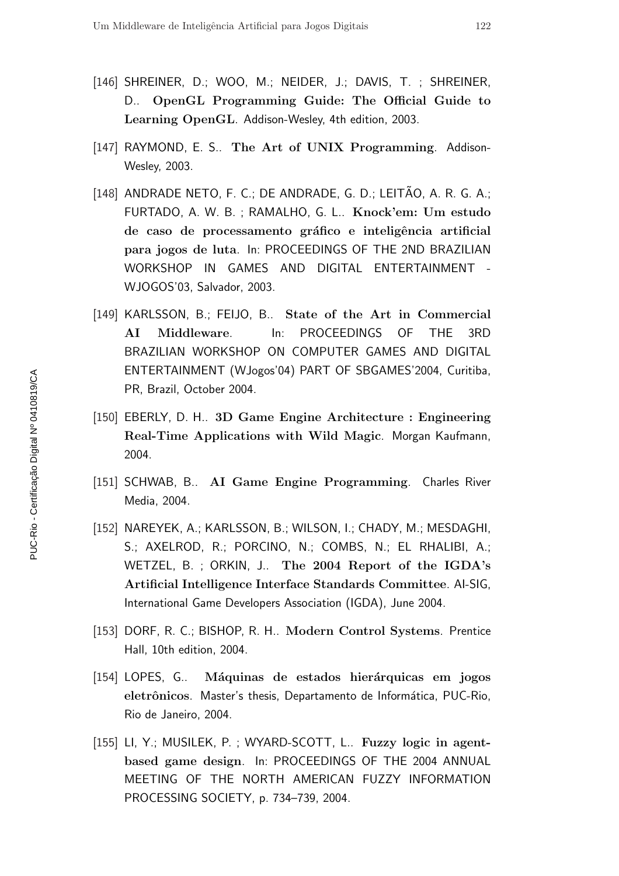- [146] SHREINER, D.; WOO, M.; NEIDER, J.; DAVIS, T. ; SHREINER, D.. OpenGL Programming Guide: The Official Guide to Learning OpenGL. Addison-Wesley, 4th edition, 2003.
- [147] RAYMOND, E. S.. The Art of UNIX Programming. Addison-Wesley, 2003.
- $[148]$  ANDRADE NETO, F. C.; DE ANDRADE, G. D.; LEITÃO, A. R. G. A.; FURTADO, A. W. B. ; RAMALHO, G. L.. Knock'em: Um estudo de caso de processamento gráfico e inteligência artificial para jogos de luta. In: PROCEEDINGS OF THE 2ND BRAZILIAN WORKSHOP IN GAMES AND DIGITAL ENTERTAINMENT - WJOGOS'03, Salvador, 2003.
- [149] KARLSSON, B.; FEIJO, B.. State of the Art in Commercial AI Middleware. In: PROCEEDINGS OF THE 3RD BRAZILIAN WORKSHOP ON COMPUTER GAMES AND DIGITAL ENTERTAINMENT (WJogos'04) PART OF SBGAMES'2004, Curitiba, PR, Brazil, October 2004.
- [150] EBERLY, D. H.. 3D Game Engine Architecture : Engineering Real-Time Applications with Wild Magic. Morgan Kaufmann, 2004.
- [151] SCHWAB, B.. AI Game Engine Programming. Charles River Media, 2004.
- [152] NAREYEK, A.; KARLSSON, B.; WILSON, I.; CHADY, M.; MESDAGHI, S.; AXELROD, R.; PORCINO, N.; COMBS, N.; EL RHALIBI, A.; WETZEL, B. ; ORKIN, J.. The 2004 Report of the IGDA's Artificial Intelligence Interface Standards Committee. AI-SIG, International Game Developers Association (IGDA), June 2004.
- [153] DORF, R. C.; BISHOP, R. H.. Modern Control Systems. Prentice Hall, 10th edition, 2004.
- [154] LOPES, G.. Máquinas de estados hierárquicas em jogos eletrônicos. Master's thesis, Departamento de Informática, PUC-Rio, Rio de Janeiro, 2004.
- [155] LI, Y.; MUSILEK, P.; WYARD-SCOTT, L.. Fuzzy logic in agentbased game design. In: PROCEEDINGS OF THE 2004 ANNUAL MEETING OF THE NORTH AMERICAN FUZZY INFORMATION PROCESSING SOCIETY, p. 734–739, 2004.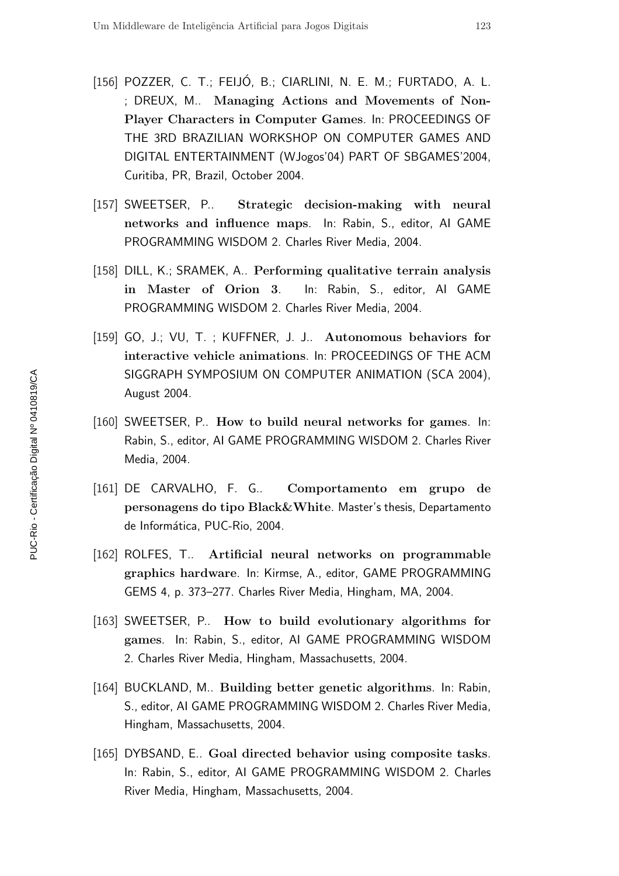- [156] POZZER, C. T.; FEIJÓ, B.; CIARLINI, N. E. M.; FURTADO, A. L. ; DREUX, M.. Managing Actions and Movements of Non-Player Characters in Computer Games. In: PROCEEDINGS OF THE 3RD BRAZILIAN WORKSHOP ON COMPUTER GAMES AND DIGITAL ENTERTAINMENT (WJogos'04) PART OF SBGAMES'2004, Curitiba, PR, Brazil, October 2004.
- [157] SWEETSER, P.. Strategic decision-making with neural networks and influence maps. In: Rabin, S., editor, AI GAME PROGRAMMING WISDOM 2. Charles River Media, 2004.
- [158] DILL, K.; SRAMEK, A.. Performing qualitative terrain analysis in Master of Orion 3. In: Rabin, S., editor, AI GAME PROGRAMMING WISDOM 2. Charles River Media, 2004.
- [159] GO, J.; VU, T.; KUFFNER, J. J.. Autonomous behaviors for interactive vehicle animations. In: PROCEEDINGS OF THE ACM SIGGRAPH SYMPOSIUM ON COMPUTER ANIMATION (SCA 2004), August 2004.
- [160] SWEETSER, P.. How to build neural networks for games. In: Rabin, S., editor, AI GAME PROGRAMMING WISDOM 2. Charles River Media, 2004.
- [161] DE CARVALHO, F. G.. Comportamento em grupo de personagens do tipo Black&White. Master's thesis, Departamento de Informática, PUC-Rio, 2004.
- [162] ROLFES, T.. Artificial neural networks on programmable graphics hardware. In: Kirmse, A., editor, GAME PROGRAMMING GEMS 4, p. 373–277. Charles River Media, Hingham, MA, 2004.
- [163] SWEETSER, P.. How to build evolutionary algorithms for games. In: Rabin, S., editor, AI GAME PROGRAMMING WISDOM 2. Charles River Media, Hingham, Massachusetts, 2004.
- [164] BUCKLAND, M.. Building better genetic algorithms. In: Rabin, S., editor, AI GAME PROGRAMMING WISDOM 2. Charles River Media, Hingham, Massachusetts, 2004.
- [165] DYBSAND, E.. Goal directed behavior using composite tasks. In: Rabin, S., editor, AI GAME PROGRAMMING WISDOM 2. Charles River Media, Hingham, Massachusetts, 2004.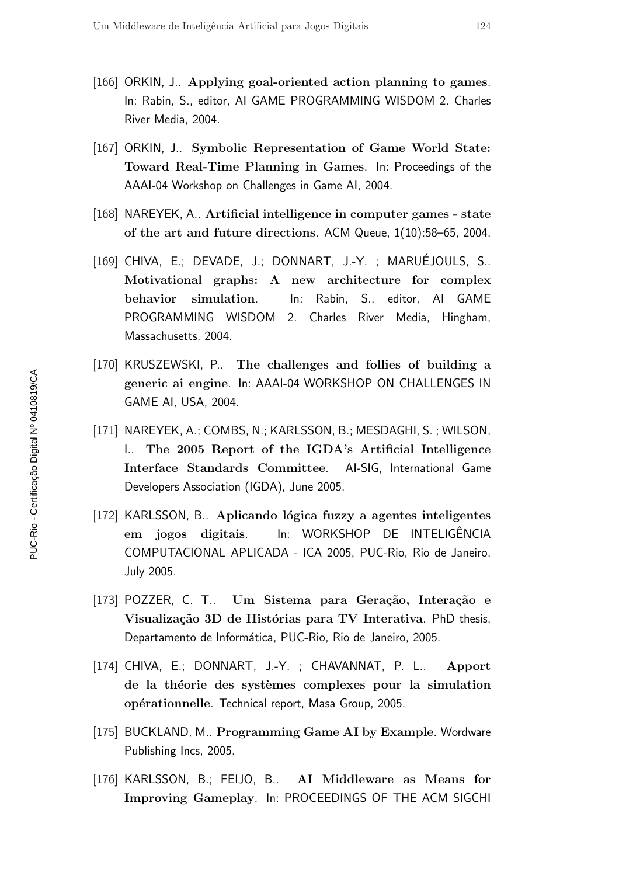- [166] ORKIN, J.. Applying goal-oriented action planning to games. In: Rabin, S., editor, AI GAME PROGRAMMING WISDOM 2. Charles River Media, 2004.
- [167] ORKIN, J.. Symbolic Representation of Game World State: Toward Real-Time Planning in Games. In: Proceedings of the AAAI-04 Workshop on Challenges in Game AI, 2004.
- [168] NAREYEK, A.. Artificial intelligence in computer games state of the art and future directions. ACM Queue, 1(10):58–65, 2004.
- [169] CHIVA, E.; DEVADE, J.; DONNART, J.-Y. ; MARUÉJOULS, S.. Motivational graphs: A new architecture for complex behavior simulation. In: Rabin, S., editor, AI GAME PROGRAMMING WISDOM 2. Charles River Media, Hingham, Massachusetts, 2004.
- [170] KRUSZEWSKI, P.. The challenges and follies of building a generic ai engine. In: AAAI-04 WORKSHOP ON CHALLENGES IN GAME AI, USA, 2004.
- [171] NAREYEK, A.; COMBS, N.; KARLSSON, B.; MESDAGHI, S. ; WILSON, I.. The 2005 Report of the IGDA's Artificial Intelligence Interface Standards Committee. AI-SIG, International Game Developers Association (IGDA), June 2005.
- [172] KARLSSON, B.. Aplicando lógica fuzzy a agentes inteligentes em jogos digitais. In: WORKSHOP DE INTELIGÊNCIA COMPUTACIONAL APLICADA - ICA 2005, PUC-Rio, Rio de Janeiro, July 2005.
- [173] POZZER, C. T.. Um Sistema para Geração, Interação e Visualização 3D de Histórias para TV Interativa. PhD thesis, Departamento de Informática, PUC-Rio, Rio de Janeiro, 2005.
- [174] CHIVA, E.; DONNART, J.-Y. ; CHAVANNAT, P. L.. Apport de la théorie des systèmes complexes pour la simulation opérationnelle. Technical report, Masa Group, 2005.
- [175] BUCKLAND, M.. Programming Game AI by Example. Wordware Publishing Incs, 2005.
- [176] KARLSSON, B.; FEIJO, B.. AI Middleware as Means for Improving Gameplay. In: PROCEEDINGS OF THE ACM SIGCHI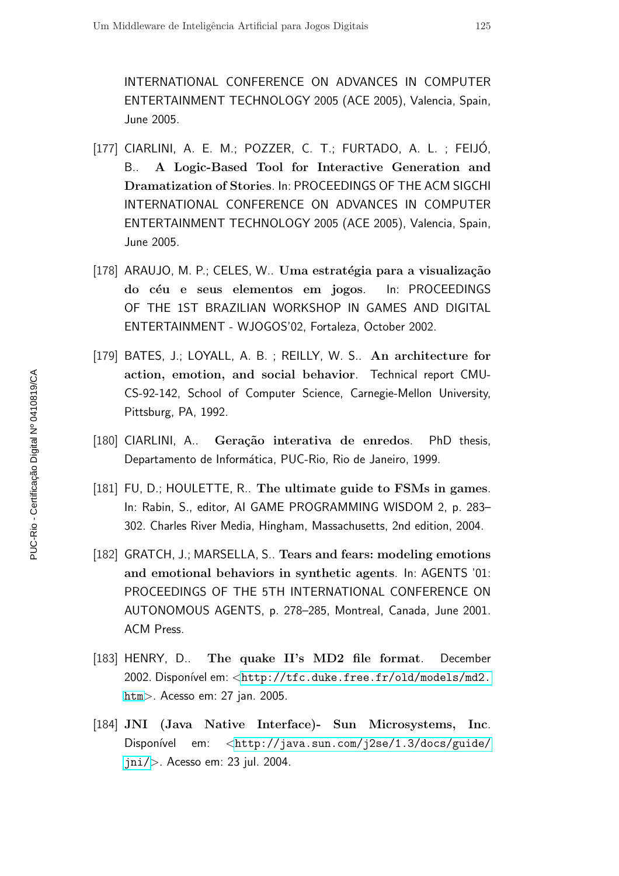INTERNATIONAL CONFERENCE ON ADVANCES IN COMPUTER ENTERTAINMENT TECHNOLOGY 2005 (ACE 2005), Valencia, Spain, June 2005.

- [177] CIARLINI, A. E. M.; POZZER, C. T.; FURTADO, A. L. ; FEIJO, B.. A Logic-Based Tool for Interactive Generation and Dramatization of Stories. In: PROCEEDINGS OF THE ACM SIGCHI INTERNATIONAL CONFERENCE ON ADVANCES IN COMPUTER ENTERTAINMENT TECHNOLOGY 2005 (ACE 2005), Valencia, Spain, June 2005.
- $[178]$  ARAUJO, M. P.; CELES, W., Uma estratégia para a visualização do céu e seus elementos em jogos. In: PROCEEDINGS OF THE 1ST BRAZILIAN WORKSHOP IN GAMES AND DIGITAL ENTERTAINMENT - WJOGOS'02, Fortaleza, October 2002.
- [179] BATES, J.; LOYALL, A. B.; REILLY, W. S.. An architecture for action, emotion, and social behavior. Technical report CMU-CS-92-142, School of Computer Science, Carnegie-Mellon University, Pittsburg, PA, 1992.
- [180] CIARLINI, A.. Geração interativa de enredos. PhD thesis, Departamento de Informática, PUC-Rio, Rio de Janeiro, 1999.
- [181] FU, D.; HOULETTE, R.. The ultimate guide to FSMs in games. In: Rabin, S., editor, AI GAME PROGRAMMING WISDOM 2, p. 283– 302. Charles River Media, Hingham, Massachusetts, 2nd edition, 2004.
- [182] GRATCH, J.; MARSELLA, S., Tears and fears: modeling emotions and emotional behaviors in synthetic agents. In: AGENTS '01: PROCEEDINGS OF THE 5TH INTERNATIONAL CONFERENCE ON AUTONOMOUS AGENTS, p. 278–285, Montreal, Canada, June 2001. ACM Press.
- [183] HENRY, D.. The quake II's MD2 file format. December 2002. Disponível em: <[http://tfc.duke.free.fr/old/models/md2.](http://tfc.duke.free.fr/old/models/md2.htm) [htm](http://tfc.duke.free.fr/old/models/md2.htm)>. Acesso em: 27 jan. 2005.
- [184] JNI (Java Native Interface)- Sun Microsystems, Inc. Disponível em: <[http://java.sun.com/j2se/1.3/docs/guide/](http://java.sun.com/j2se/1.3/docs/guide/jni/) [jni/](http://java.sun.com/j2se/1.3/docs/guide/jni/)>. Acesso em: 23 jul. 2004.